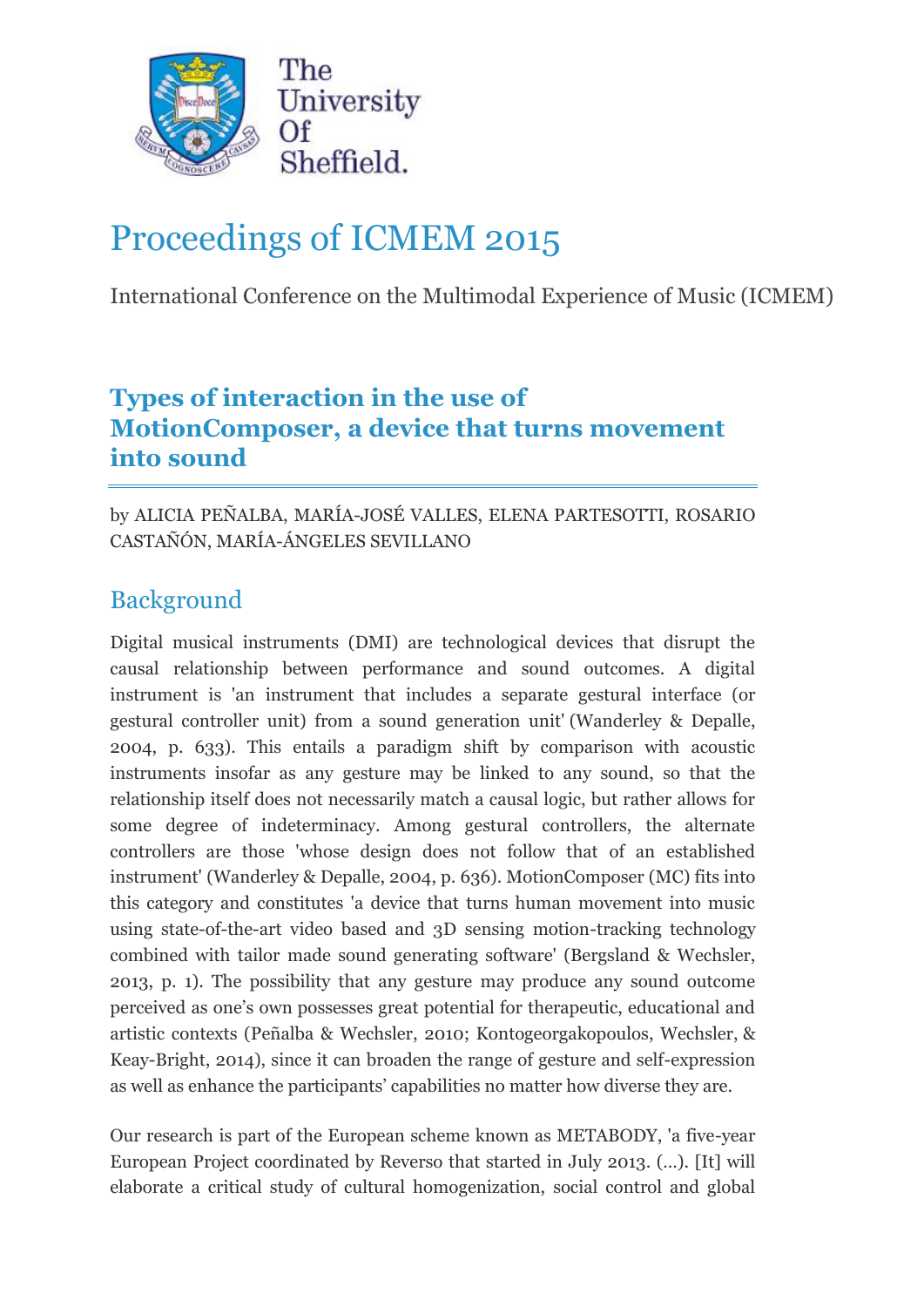

# Proceedings of ICMEM 2015

International Conference on the Multimodal Experience of Music (ICMEM)

## **Types of interaction in the use of MotionComposer, a device that turns movement into sound**

by ALICIA PEÑALBA, MARÍA-JOSÉ VALLES, ELENA PARTESOTTI, ROSARIO CASTAÑÓN, MARÍA-ÁNGELES SEVILLANO

## Background

Digital musical instruments (DMI) are technological devices that disrupt the causal relationship between performance and sound outcomes. A digital instrument is 'an instrument that includes a separate gestural interface (or gestural controller unit) from a sound generation unit' (Wanderley & Depalle, 2004, p. 633). This entails a paradigm shift by comparison with acoustic instruments insofar as any gesture may be linked to any sound, so that the relationship itself does not necessarily match a causal logic, but rather allows for some degree of indeterminacy. Among gestural controllers, the alternate controllers are those 'whose design does not follow that of an established instrument' (Wanderley & Depalle, 2004, p. 636). MotionComposer (MC) fits into this category and constitutes 'a device that turns human movement into music using state-of-the-art video based and 3D sensing motion-tracking technology combined with tailor made sound generating software' (Bergsland & Wechsler, 2013, p. 1). The possibility that any gesture may produce any sound outcome perceived as one's own possesses great potential for therapeutic, educational and artistic contexts (Peñalba & Wechsler, 2010; Kontogeorgakopoulos, Wechsler, & Keay-Bright, 2014), since it can broaden the range of gesture and self-expression as well as enhance the participants' capabilities no matter how diverse they are.

Our research is part of the European scheme known as METABODY, 'a five-year European Project coordinated by Reverso that started in July 2013. (…). [It] will elaborate a critical study of cultural homogenization, social control and global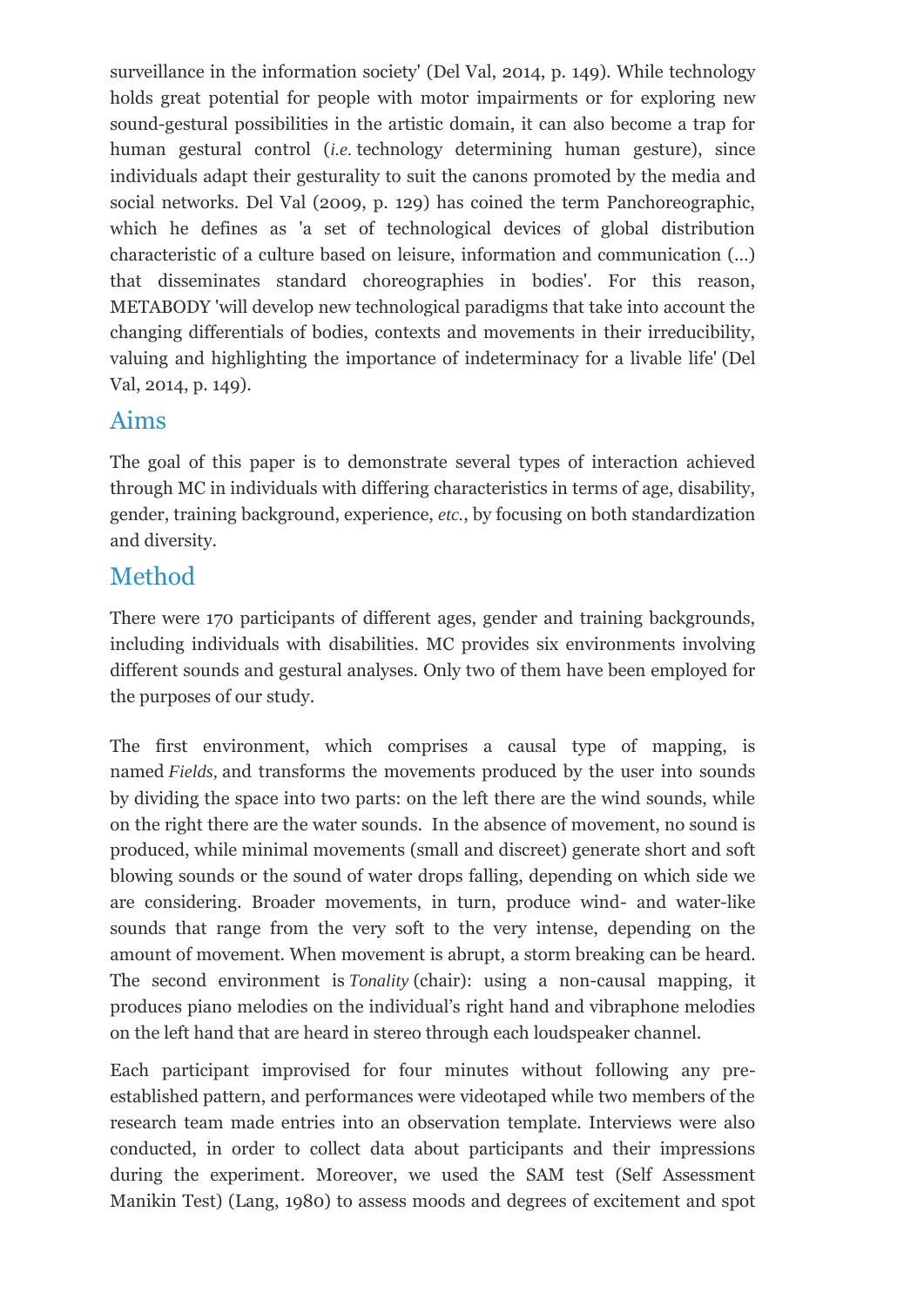surveillance in the information society' (Del Val, 2014, p. 149). While technology holds great potential for people with motor impairments or for exploring new sound-gestural possibilities in the artistic domain, it can also become a trap for human gestural control (*i.e.* technology determining human gesture), since individuals adapt their gesturality to suit the canons promoted by the media and social networks. Del Val (2009, p. 129) has coined the term Panchoreographic, which he defines as 'a set of technological devices of global distribution characteristic of a culture based on leisure, information and communication (…) that disseminates standard choreographies in bodies'. For this reason, METABODY 'will develop new technological paradigms that take into account the changing differentials of bodies, contexts and movements in their irreducibility, valuing and highlighting the importance of indeterminacy for a livable life' (Del Val, 2014, p. 149).

#### Aims

The goal of this paper is to demonstrate several types of interaction achieved through MC in individuals with differing characteristics in terms of age, disability, gender, training background, experience, *etc.*, by focusing on both standardization and diversity.

#### Method

There were 170 participants of different ages, gender and training backgrounds, including individuals with disabilities. MC provides six environments involving different sounds and gestural analyses. Only two of them have been employed for the purposes of our study.

The first environment, which comprises a causal type of mapping, is named *Fields,* and transforms the movements produced by the user into sounds by dividing the space into two parts: on the left there are the wind sounds, while on the right there are the water sounds. In the absence of movement, no sound is produced, while minimal movements (small and discreet) generate short and soft blowing sounds or the sound of water drops falling, depending on which side we are considering. Broader movements, in turn, produce wind- and water-like sounds that range from the very soft to the very intense, depending on the amount of movement. When movement is abrupt, a storm breaking can be heard. The second environment is *Tonality* (chair): using a non-causal mapping, it produces piano melodies on the individual's right hand and vibraphone melodies on the left hand that are heard in stereo through each loudspeaker channel.

Each participant improvised for four minutes without following any preestablished pattern, and performances were videotaped while two members of the research team made entries into an observation template. Interviews were also conducted, in order to collect data about participants and their impressions during the experiment. Moreover, we used the SAM test (Self Assessment Manikin Test) (Lang, 1980) to assess moods and degrees of excitement and spot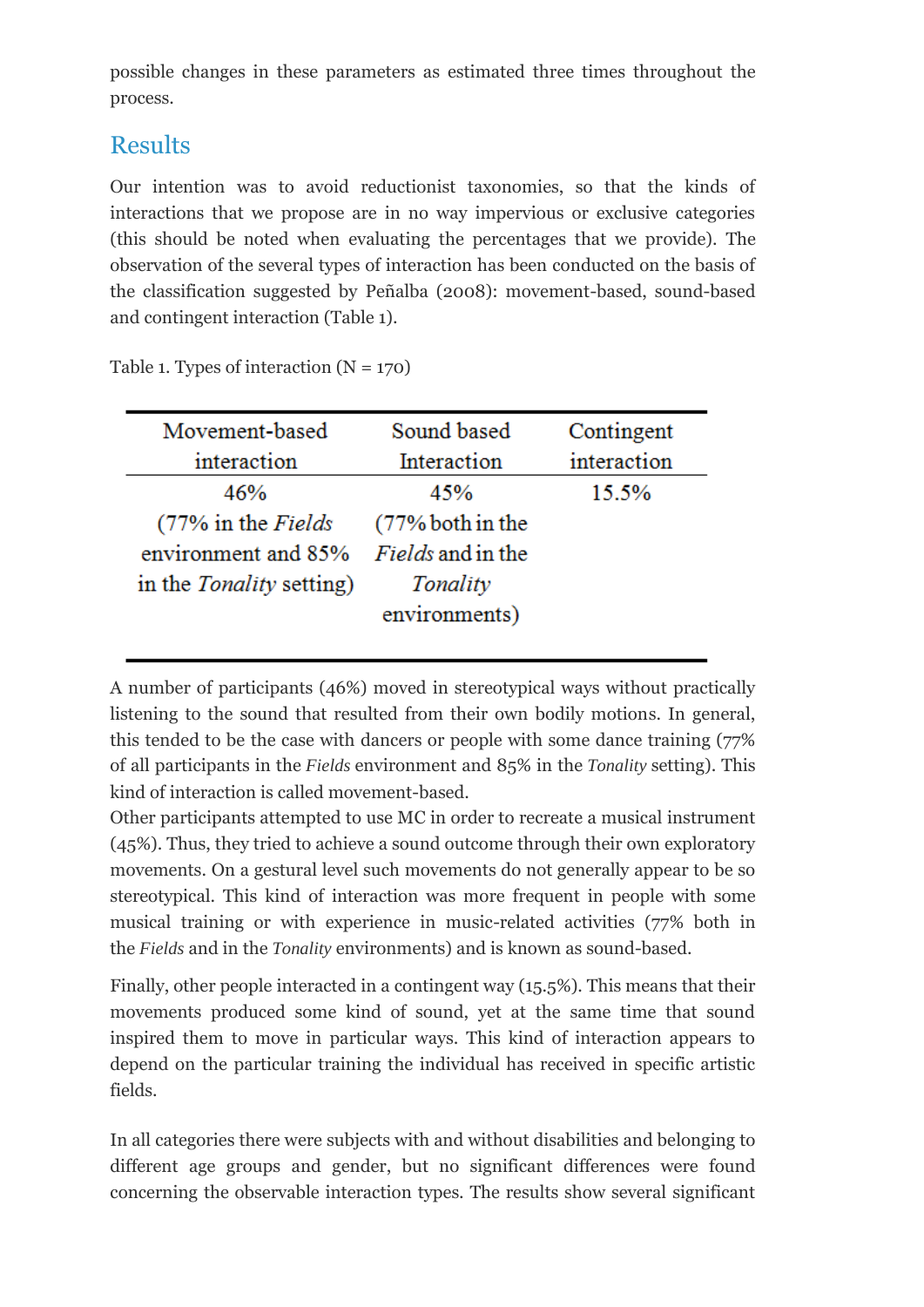possible changes in these parameters as estimated three times throughout the process.

### Results

Our intention was to avoid reductionist taxonomies, so that the kinds of interactions that we propose are in no way impervious or exclusive categories (this should be noted when evaluating the percentages that we provide). The observation of the several types of interaction has been conducted on the basis of the classification suggested by Peñalba (2008): movement-based, sound-based and contingent interaction (Table 1).

Table 1. Types of interaction  $(N = 170)$ 

| Movement-based                  | Sound based              | Contingent  |
|---------------------------------|--------------------------|-------------|
| interaction                     | Interaction              | interaction |
| 46%                             | 45%                      | 15.5%       |
| (77% in the Fields)             | $(77%$ both in the       |             |
| environment and 85%             | <i>Fields</i> and in the |             |
| in the <i>Tonality</i> setting) | Tonality                 |             |
|                                 | environments)            |             |
|                                 |                          |             |

A number of participants (46%) moved in stereotypical ways without practically listening to the sound that resulted from their own bodily motions. In general, this tended to be the case with dancers or people with some dance training (77% of all participants in the *Fields* environment and 85% in the *Tonality* setting). This kind of interaction is called movement-based.

Other participants attempted to use MC in order to recreate a musical instrument (45%). Thus, they tried to achieve a sound outcome through their own exploratory movements. On a gestural level such movements do not generally appear to be so stereotypical. This kind of interaction was more frequent in people with some musical training or with experience in music-related activities (77% both in the *Fields* and in the *Tonality* environments) and is known as sound-based.

Finally, other people interacted in a contingent way (15.5%). This means that their movements produced some kind of sound, yet at the same time that sound inspired them to move in particular ways. This kind of interaction appears to depend on the particular training the individual has received in specific artistic fields.

In all categories there were subjects with and without disabilities and belonging to different age groups and gender, but no significant differences were found concerning the observable interaction types. The results show several significant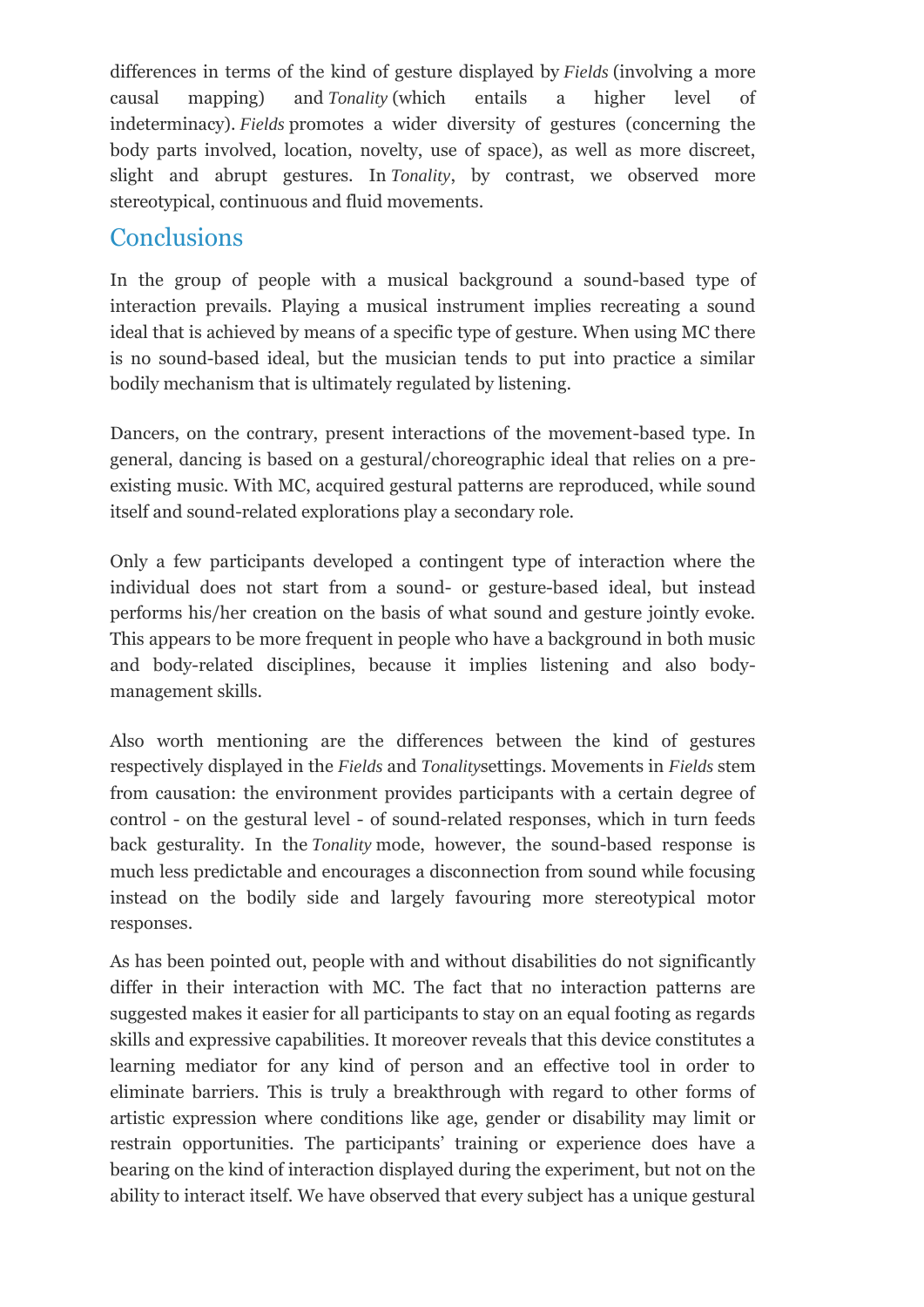differences in terms of the kind of gesture displayed by *Fields* (involving a more causal mapping) and *Tonality* (which entails a higher level of indeterminacy). *Fields* promotes a wider diversity of gestures (concerning the body parts involved, location, novelty, use of space), as well as more discreet, slight and abrupt gestures. In *Tonality*, by contrast, we observed more stereotypical, continuous and fluid movements.

#### **Conclusions**

In the group of people with a musical background a sound-based type of interaction prevails. Playing a musical instrument implies recreating a sound ideal that is achieved by means of a specific type of gesture. When using MC there is no sound-based ideal, but the musician tends to put into practice a similar bodily mechanism that is ultimately regulated by listening.

Dancers, on the contrary, present interactions of the movement-based type. In general, dancing is based on a gestural/choreographic ideal that relies on a preexisting music. With MC, acquired gestural patterns are reproduced, while sound itself and sound-related explorations play a secondary role.

Only a few participants developed a contingent type of interaction where the individual does not start from a sound- or gesture-based ideal, but instead performs his/her creation on the basis of what sound and gesture jointly evoke. This appears to be more frequent in people who have a background in both music and body-related disciplines, because it implies listening and also bodymanagement skills.

Also worth mentioning are the differences between the kind of gestures respectively displayed in the *Fields* and *Tonality*settings. Movements in *Fields* stem from causation: the environment provides participants with a certain degree of control - on the gestural level - of sound-related responses, which in turn feeds back gesturality. In the *Tonality* mode, however, the sound-based response is much less predictable and encourages a disconnection from sound while focusing instead on the bodily side and largely favouring more stereotypical motor responses.

As has been pointed out, people with and without disabilities do not significantly differ in their interaction with MC. The fact that no interaction patterns are suggested makes it easier for all participants to stay on an equal footing as regards skills and expressive capabilities. It moreover reveals that this device constitutes a learning mediator for any kind of person and an effective tool in order to eliminate barriers. This is truly a breakthrough with regard to other forms of artistic expression where conditions like age, gender or disability may limit or restrain opportunities. The participants' training or experience does have a bearing on the kind of interaction displayed during the experiment, but not on the ability to interact itself. We have observed that every subject has a unique gestural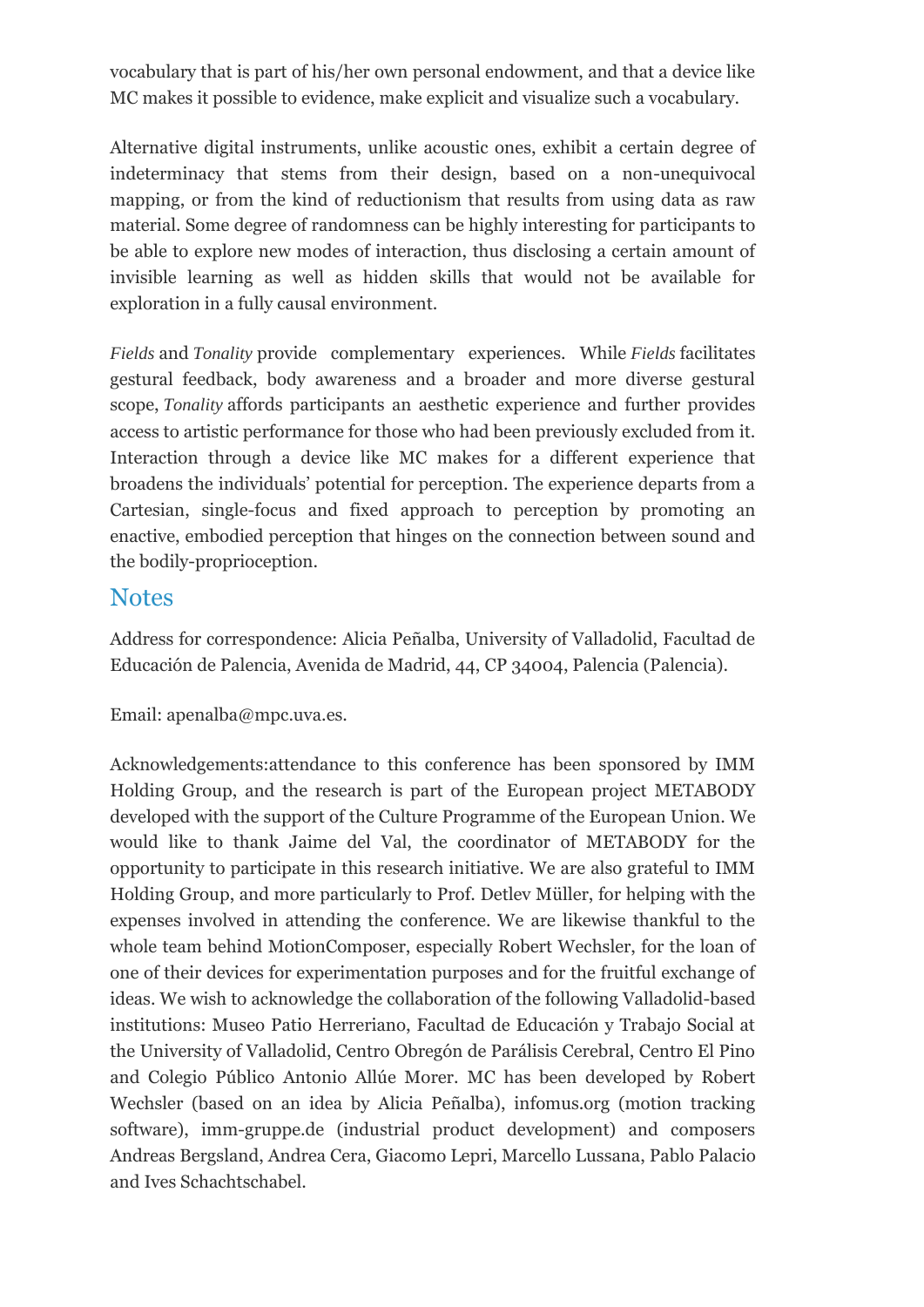vocabulary that is part of his/her own personal endowment, and that a device like MC makes it possible to evidence, make explicit and visualize such a vocabulary.

Alternative digital instruments, unlike acoustic ones, exhibit a certain degree of indeterminacy that stems from their design, based on a non-unequivocal mapping, or from the kind of reductionism that results from using data as raw material. Some degree of randomness can be highly interesting for participants to be able to explore new modes of interaction, thus disclosing a certain amount of invisible learning as well as hidden skills that would not be available for exploration in a fully causal environment.

*Fields* and *Tonality* provide complementary experiences. While *Fields* facilitates gestural feedback, body awareness and a broader and more diverse gestural scope, *Tonality* affords participants an aesthetic experience and further provides access to artistic performance for those who had been previously excluded from it. Interaction through a device like MC makes for a different experience that broadens the individuals' potential for perception. The experience departs from a Cartesian, single-focus and fixed approach to perception by promoting an enactive, embodied perception that hinges on the connection between sound and the bodily-proprioception.

#### **Notes**

Address for correspondence: Alicia Peñalba, University of Valladolid, Facultad de Educación de Palencia, Avenida de Madrid, 44, CP 34004, Palencia (Palencia).

Email: apenalba@mpc.uva.es.

Acknowledgements:attendance to this conference has been sponsored by IMM Holding Group, and the research is part of the European project METABODY developed with the support of the Culture Programme of the European Union. We would like to thank Jaime del Val, the coordinator of METABODY for the opportunity to participate in this research initiative. We are also grateful to IMM Holding Group, and more particularly to Prof. Detlev Müller, for helping with the expenses involved in attending the conference. We are likewise thankful to the whole team behind MotionComposer, especially Robert Wechsler, for the loan of one of their devices for experimentation purposes and for the fruitful exchange of ideas. We wish to acknowledge the collaboration of the following Valladolid-based institutions: Museo Patio Herreriano, Facultad de Educación y Trabajo Social at the University of Valladolid, Centro Obregón de Parálisis Cerebral, Centro El Pino and Colegio Público Antonio Allúe Morer. MC has been developed by Robert Wechsler (based on an idea by Alicia Peñalba), infomus.org (motion tracking software), imm-gruppe.de (industrial product development) and composers Andreas Bergsland, Andrea Cera, Giacomo Lepri, Marcello Lussana, Pablo Palacio and Ives Schachtschabel.